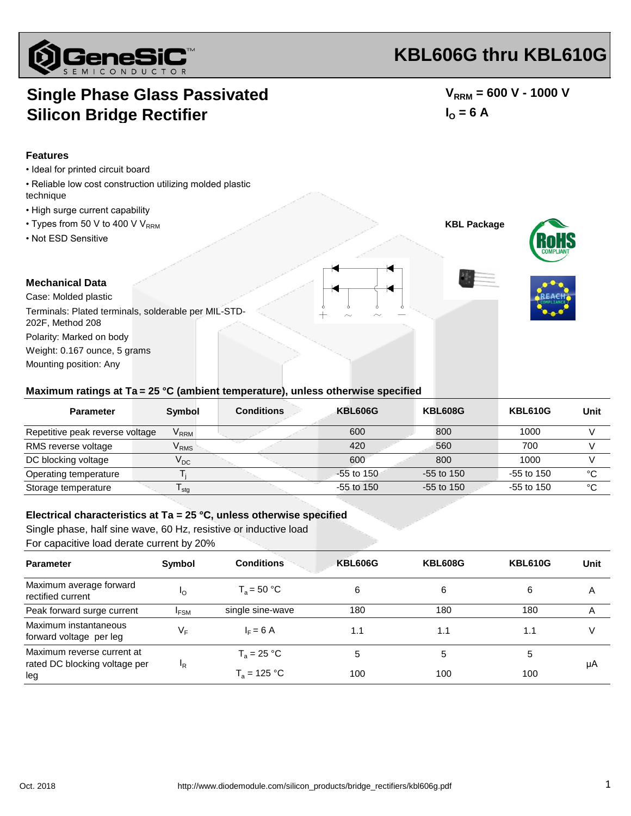

# **KBL606G thru KBL610G**

### **Single Phase Glass Passivated Silicon Bridge Rectifier**

 $V_{RRM}$  = 600 V - 1000 V  $I_{\text{O}} = 6 \text{ A}$ 

**KBL Package**

#### **Features**

- Ideal for printed circuit board
- Reliable low cost construction utilizing molded plastic technique
- High surge current capability
- Types from 50 V to 400 V  $V_{RRM}$
- Not ESD Sensitive





#### **Mechanical Data**

Case: Molded plastic Polarity: Marked on body Weight: 0.167 ounce, 5 grams Mounting position: Any Terminals: Plated terminals, solderable per MIL-STD-202F, Method 208

#### **Maximum ratings at Ta = 25 °C (ambient temperature), unless otherwise specified**

| <b>Parameter</b>                | <b>Symbol</b>               | <b>Conditions</b> | <b>KBL606G</b> | <b>KBL608G</b> | <b>KBL610G</b> | Unit   |
|---------------------------------|-----------------------------|-------------------|----------------|----------------|----------------|--------|
| Repetitive peak reverse voltage | $\mathsf{V}_{\mathsf{RRM}}$ |                   | 600            | 800            | 1000           |        |
| RMS reverse voltage             | $\mathsf{V}_{\mathsf{RMS}}$ |                   | 420            | 560            | 700            |        |
| DC blocking voltage             | $\rm V_{DC}$                |                   | 600            | 800            | 1000           |        |
| Operating temperature           |                             |                   | $-55$ to 150   | $-55$ to 150   | $-55$ to 150   | °C     |
| Storage temperature             | <sup>I</sup> stg            |                   | $-55$ to 150   | $-55$ to 150   | $-55$ to 150   | $\sim$ |

#### **Electrical characteristics at Ta = 25 °C, unless otherwise specified**

Single phase, half sine wave, 60 Hz, resistive or inductive load For capacitive load derate current by 20%

| <b>Parameter</b>                                                   | Symbol    | <b>Conditions</b> | <b>KBL606G</b> | <b>KBL608G</b> | <b>KBL610G</b> | Unit |
|--------------------------------------------------------------------|-----------|-------------------|----------------|----------------|----------------|------|
| Maximum average forward<br>rectified current                       | Ιo        | $T_a = 50 °C$     | 6              | 6              | 6              | Α    |
| Peak forward surge current                                         | $I_{FSM}$ | single sine-wave  | 180            | 180            | 180            | A    |
| Maximum instantaneous<br>forward voltage per leg                   | ٧F        | $I_F = 6$ A       | 1.1            | 1.1            | 1.1            |      |
| Maximum reverse current at<br>rated DC blocking voltage per<br>leg | ΙR        | $T_a = 25 °C$     | 5              | 5              | 5              | μA   |
|                                                                    |           | $T_a = 125 °C$    | 100            | 100            | 100            |      |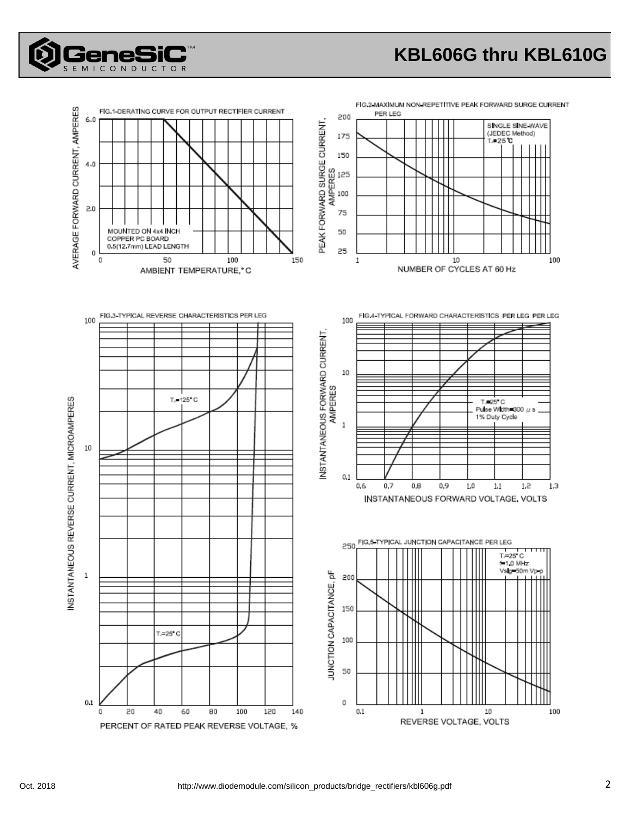# **KBL606G thru KBL610G**